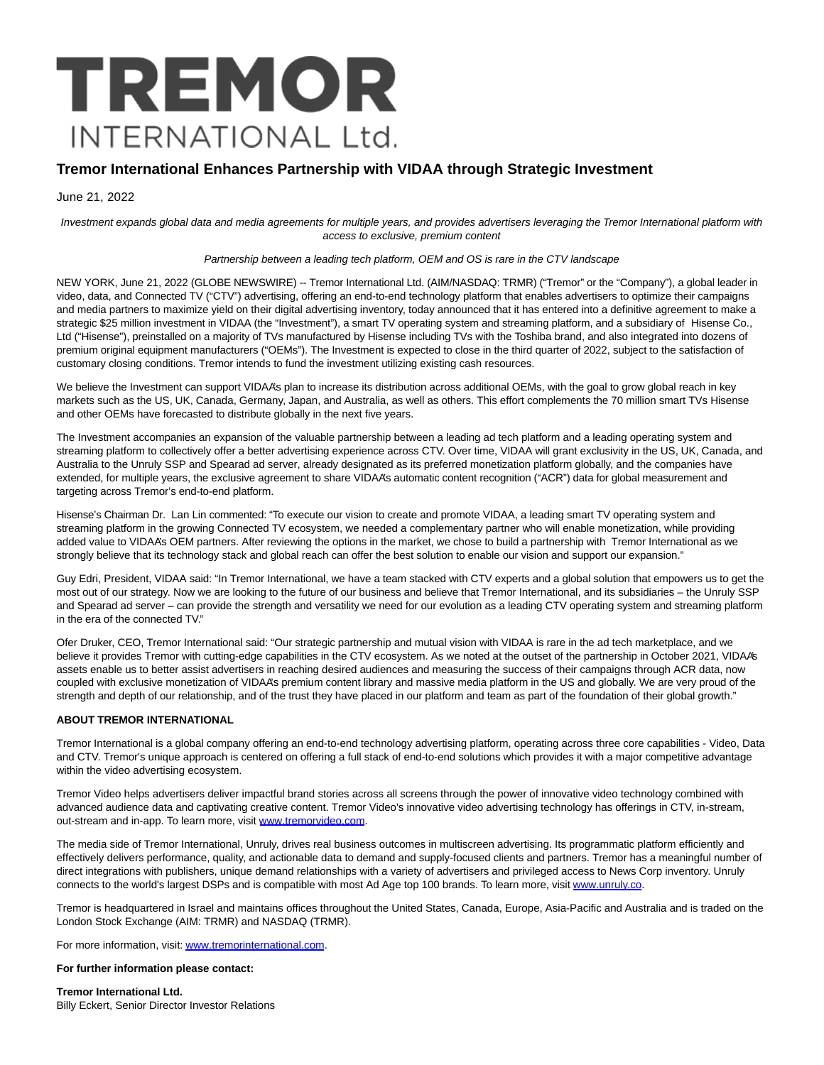# TREMOR **INTERNATIONAL Ltd.**

# **Tremor International Enhances Partnership with VIDAA through Strategic Investment**

June 21, 2022

Investment expands global data and media agreements for multiple years, and provides advertisers leveraging the Tremor International platform with access to exclusive, premium content

#### Partnership between a leading tech platform, OEM and OS is rare in the CTV landscape

NEW YORK, June 21, 2022 (GLOBE NEWSWIRE) -- Tremor International Ltd. (AIM/NASDAQ: TRMR) ("Tremor" or the "Company"), a global leader in video, data, and Connected TV ("CTV") advertising, offering an end-to-end technology platform that enables advertisers to optimize their campaigns and media partners to maximize yield on their digital advertising inventory, today announced that it has entered into a definitive agreement to make a strategic \$25 million investment in VIDAA (the "Investment"), a smart TV operating system and streaming platform, and a subsidiary of Hisense Co., Ltd ("Hisense"), preinstalled on a majority of TVs manufactured by Hisense including TVs with the Toshiba brand, and also integrated into dozens of premium original equipment manufacturers ("OEMs"). The Investment is expected to close in the third quarter of 2022, subject to the satisfaction of customary closing conditions. Tremor intends to fund the investment utilizing existing cash resources.

We believe the Investment can support VIDAA's plan to increase its distribution across additional OEMs, with the goal to grow global reach in key markets such as the US, UK, Canada, Germany, Japan, and Australia, as well as others. This effort complements the 70 million smart TVs Hisense and other OEMs have forecasted to distribute globally in the next five years.

The Investment accompanies an expansion of the valuable partnership between a leading ad tech platform and a leading operating system and streaming platform to collectively offer a better advertising experience across CTV. Over time, VIDAA will grant exclusivity in the US, UK, Canada, and Australia to the Unruly SSP and Spearad ad server, already designated as its preferred monetization platform globally, and the companies have extended, for multiple years, the exclusive agreement to share VIDAA's automatic content recognition ("ACR") data for global measurement and targeting across Tremor's end-to-end platform.

Hisense's Chairman Dr. Lan Lin commented: "To execute our vision to create and promote VIDAA, a leading smart TV operating system and streaming platform in the growing Connected TV ecosystem, we needed a complementary partner who will enable monetization, while providing added value to VIDAA's OEM partners. After reviewing the options in the market, we chose to build a partnership with Tremor International as we strongly believe that its technology stack and global reach can offer the best solution to enable our vision and support our expansion."

Guy Edri, President, VIDAA said: "In Tremor International, we have a team stacked with CTV experts and a global solution that empowers us to get the most out of our strategy. Now we are looking to the future of our business and believe that Tremor International, and its subsidiaries – the Unruly SSP and Spearad ad server – can provide the strength and versatility we need for our evolution as a leading CTV operating system and streaming platform in the era of the connected TV."

Ofer Druker, CEO, Tremor International said: "Our strategic partnership and mutual vision with VIDAA is rare in the ad tech marketplace, and we believe it provides Tremor with cutting-edge capabilities in the CTV ecosystem. As we noted at the outset of the partnership in October 2021, VIDAA's assets enable us to better assist advertisers in reaching desired audiences and measuring the success of their campaigns through ACR data, now coupled with exclusive monetization of VIDAA's premium content library and massive media platform in the US and globally. We are very proud of the strength and depth of our relationship, and of the trust they have placed in our platform and team as part of the foundation of their global growth."

#### **ABOUT TREMOR INTERNATIONAL**

Tremor International is a global company offering an end-to-end technology advertising platform, operating across three core capabilities - Video, Data and CTV. Tremor's unique approach is centered on offering a full stack of end-to-end solutions which provides it with a major competitive advantage within the video advertising ecosystem.

Tremor Video helps advertisers deliver impactful brand stories across all screens through the power of innovative video technology combined with advanced audience data and captivating creative content. Tremor Video's innovative video advertising technology has offerings in CTV, in-stream, out-stream and in-app. To learn more, visit [www.tremorvideo.com.](https://www.globenewswire.com/Tracker?data=p6TDz6Cy5tIVUwW2-a2MhCaTYOpow2TJzBh4XSZUb7ZieBilBpFvGwf5ZksuqOl7l7ZDt0_XPhvYSL2KEBNfpU0RFi_zbEASOFMcglTPW9I=)

The media side of Tremor International, Unruly, drives real business outcomes in multiscreen advertising. Its programmatic platform efficiently and effectively delivers performance, quality, and actionable data to demand and supply-focused clients and partners. Tremor has a meaningful number of direct integrations with publishers, unique demand relationships with a variety of advertisers and privileged access to News Corp inventory. Unruly connects to the world's largest DSPs and is compatible with most Ad Age top 100 brands. To learn more, visit [www.unruly.co.](https://www.globenewswire.com/Tracker?data=BBaMvKSNqJ6CKKxA6pwKQajdiUFa6dtHQxnE8S_mL5obfqif9PTnMyMq1ut7pLDXl5eD4TEqUg6DKs1YHpZJiA==)

Tremor is headquartered in Israel and maintains offices throughout the United States, Canada, Europe, Asia-Pacific and Australia and is traded on the London Stock Exchange (AIM: TRMR) and NASDAQ (TRMR).

For more information, visit[: www.tremorinternational.com.](https://www.globenewswire.com/Tracker?data=p6TDz6Cy5tIVUwW2-a2MhFK4slFyU5FrP3u-IZxVeIJ5H6UkT9g9Ltuh33wLqKDEnNygXLUlD1MX_uglydhWgjk2B9U2ouW-7DxE-ErAescNcDAHX8eFnCjAYOfol0Uo)

## **For further information please contact:**

**Tremor International Ltd.** Billy Eckert, Senior Director Investor Relations